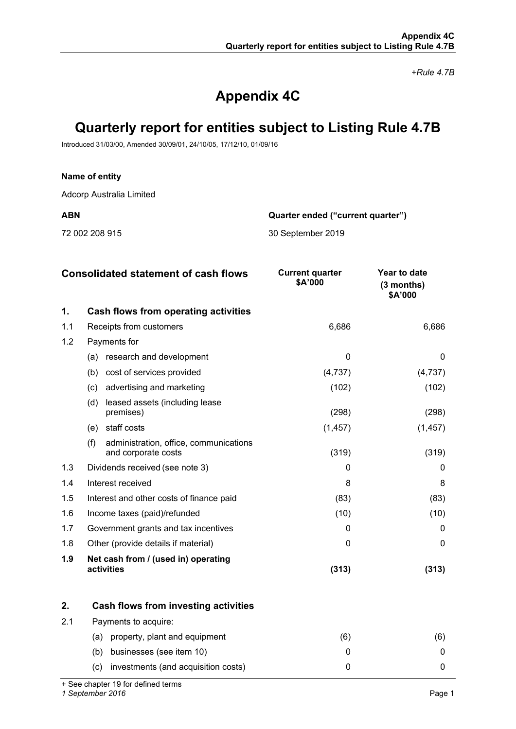*+Rule 4.7B*

# **Appendix 4C**

# **Quarterly report for entities subject to Listing Rule 4.7B**

Introduced 31/03/00, Amended 30/09/01, 24/10/05, 17/12/10, 01/09/16

# **Name of entity**

Adcorp Australia Limited

**ABN Quarter ended ("current quarter")**

72 002 208 915 30 September 2019

|     | <b>Consolidated statement of cash flows</b>                          | <b>Current quarter</b><br>\$A'000 | Year to date<br>$(3$ months)<br>\$A'000 |
|-----|----------------------------------------------------------------------|-----------------------------------|-----------------------------------------|
| 1.  | Cash flows from operating activities                                 |                                   |                                         |
| 1.1 | Receipts from customers                                              | 6,686                             | 6,686                                   |
| 1.2 | Payments for                                                         |                                   |                                         |
|     | research and development<br>(a)                                      | $\Omega$                          | 0                                       |
|     | (b)<br>cost of services provided                                     | (4,737)                           | (4,737)                                 |
|     | advertising and marketing<br>(c)                                     | (102)                             | (102)                                   |
|     | (d)<br>leased assets (including lease<br>premises)                   | (298)                             | (298)                                   |
|     | staff costs<br>(e)                                                   | (1, 457)                          | (1, 457)                                |
|     | (f)<br>administration, office, communications<br>and corporate costs | (319)                             | (319)                                   |
| 1.3 | Dividends received (see note 3)                                      | 0                                 | 0                                       |
| 1.4 | Interest received                                                    | 8                                 | 8                                       |
| 1.5 | Interest and other costs of finance paid                             | (83)                              | (83)                                    |
| 1.6 | Income taxes (paid)/refunded                                         | (10)                              | (10)                                    |
| 1.7 | Government grants and tax incentives                                 | 0                                 | $\Omega$                                |
| 1.8 | Other (provide details if material)                                  | 0                                 | 0                                       |
| 1.9 | Net cash from / (used in) operating<br>activities                    | (313)                             | (313)                                   |

|     | Cash flows from investing activities       |    |  |
|-----|--------------------------------------------|----|--|
| 2.1 | Payments to acquire:                       |    |  |
|     | property, plant and equipment<br>(a)       | 66 |  |
|     | businesses (see item 10)<br>(b)            |    |  |
|     | investments (and acquisition costs)<br>(C) |    |  |

+ See chapter 19 for defined terms

*1 September 2016* Page 1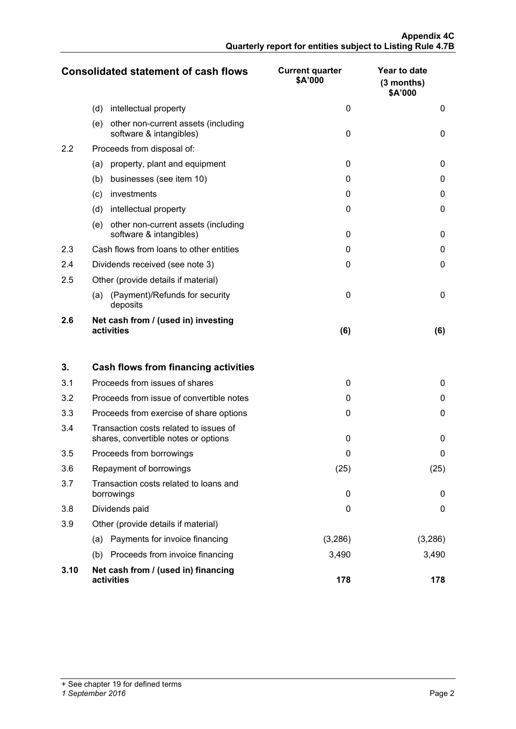|     | <b>Consolidated statement of cash flows</b>                           | <b>Current quarter</b><br>\$A'000 | Year to date<br>$(3$ months)<br>\$A'000 |
|-----|-----------------------------------------------------------------------|-----------------------------------|-----------------------------------------|
|     | (d)<br>intellectual property                                          | 0                                 | 0                                       |
|     | (e)<br>other non-current assets (including<br>software & intangibles) | $\Omega$                          | 0                                       |
| 2.2 | Proceeds from disposal of:                                            |                                   |                                         |
|     | property, plant and equipment<br>(a)                                  | $\Omega$                          | 0                                       |
|     | businesses (see item 10)<br>(b)                                       | $\Omega$                          | 0                                       |
|     | investments<br>(c)                                                    | 0                                 | 0                                       |
|     | (d)<br>intellectual property                                          | $\Omega$                          | O                                       |
|     | other non-current assets (including<br>(e)<br>software & intangibles) | $\Omega$                          | O                                       |
| 2.3 | Cash flows from loans to other entities                               | O                                 |                                         |
| 2.4 | Dividends received (see note 3)                                       | 0                                 | O                                       |
| 2.5 | Other (provide details if material)                                   |                                   |                                         |
|     | (Payment)/Refunds for security<br>(a)<br>deposits                     | $\Omega$                          | 0                                       |
| 2.6 | Net cash from / (used in) investing<br>activities                     | (6)                               | (6)                                     |

| 3.   | Cash flows from financing activities                                           |          |          |
|------|--------------------------------------------------------------------------------|----------|----------|
| 3.1  | Proceeds from issues of shares                                                 | 0        | 0        |
| 3.2  | Proceeds from issue of convertible notes                                       | 0        | $\Omega$ |
| 3.3  | Proceeds from exercise of share options                                        | $\Omega$ | 0        |
| 3.4  | Transaction costs related to issues of<br>shares, convertible notes or options | 0        | 0        |
| 3.5  | Proceeds from borrowings                                                       | 0        | 0        |
| 3.6  | Repayment of borrowings                                                        | (25)     | (25)     |
| 3.7  | Transaction costs related to loans and<br>borrowings                           | 0        | 0        |
| 3.8  | Dividends paid                                                                 | 0        | 0        |
| 3.9  | Other (provide details if material)                                            |          |          |
|      | Payments for invoice financing<br>(a)                                          | (3,286)  | (3,286)  |
|      | Proceeds from invoice financing<br>(b)                                         | 3,490    | 3,490    |
| 3.10 | Net cash from / (used in) financing<br>activities                              | 178      | 178      |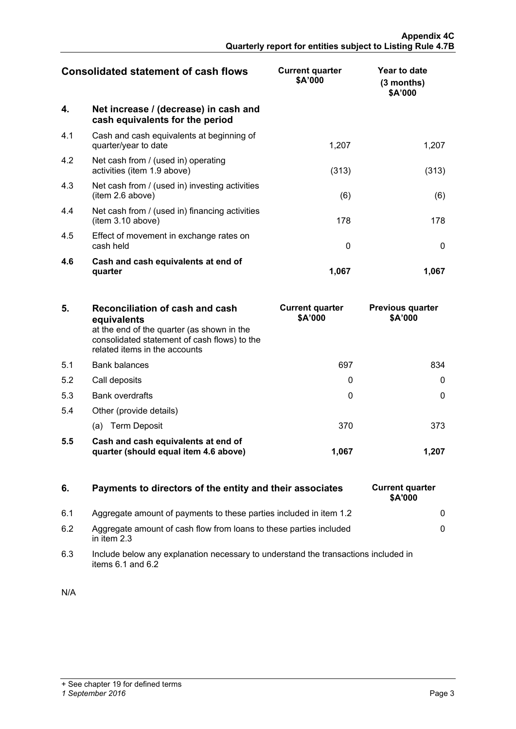| <b>Consolidated statement of cash flows</b> |                                                                          | <b>Current quarter</b><br>\$A'000 | Year to date<br>(3 months)<br>\$A'000 |
|---------------------------------------------|--------------------------------------------------------------------------|-----------------------------------|---------------------------------------|
| 4.                                          | Net increase / (decrease) in cash and<br>cash equivalents for the period |                                   |                                       |
| 4.1                                         | Cash and cash equivalents at beginning of<br>quarter/year to date        | 1,207                             | 1,207                                 |
| 4.2                                         | Net cash from / (used in) operating<br>activities (item 1.9 above)       | (313)                             | (313)                                 |
| 4.3                                         | Net cash from / (used in) investing activities<br>(item 2.6 above)       | (6)                               | (6)                                   |
| 4.4                                         | Net cash from / (used in) financing activities<br>(item 3.10 above)      | 178                               | 178                                   |
| 4.5                                         | Effect of movement in exchange rates on<br>cash held                     | $\Omega$                          | $\mathbf{0}$                          |
| 4.6                                         | Cash and cash equivalents at end of<br>quarter                           | 1,067                             | 1,067                                 |

| 5.  | Reconciliation of cash and cash<br>equivalents<br>at the end of the quarter (as shown in the<br>consolidated statement of cash flows) to the<br>related items in the accounts | <b>Current quarter</b><br>\$A'000 | <b>Previous quarter</b><br>\$A'000 |
|-----|-------------------------------------------------------------------------------------------------------------------------------------------------------------------------------|-----------------------------------|------------------------------------|
| 5.1 | <b>Bank balances</b>                                                                                                                                                          | 697                               | 834                                |
| 5.2 | Call deposits                                                                                                                                                                 |                                   |                                    |
| 5.3 | <b>Bank overdrafts</b>                                                                                                                                                        |                                   |                                    |
| 5.4 | Other (provide details)                                                                                                                                                       |                                   |                                    |
|     | (a) Term Deposit                                                                                                                                                              | 370                               |                                    |
| 5.5 | Cash and cash equivalents at end of<br>quarter (should equal item 4.6 above)                                                                                                  | 1.067                             |                                    |

# **6.** Payments to directors of the entity and their associates

- 6.1 Aggregate amount of payments to these parties included in item 1.2 0
- 6.2 Aggregate amount of cash flow from loans to these parties included in item 2.3
- 6.3 Include below any explanation necessary to understand the transactions included in items 6.1 and 6.2

| N/A |  |
|-----|--|
|     |  |

| <b>Current quarter</b><br>\$A'000 |   |
|-----------------------------------|---|
|                                   | n |
|                                   | U |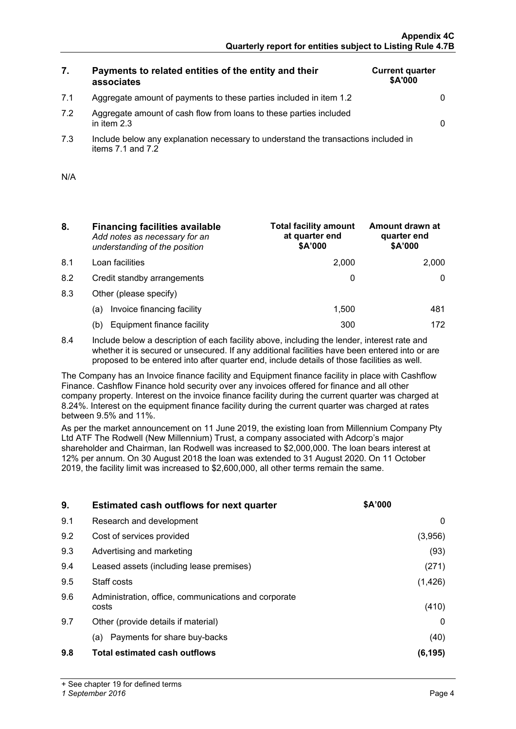# **7. Payments to related entities of the entity and their associates**

| <b>Current quarter</b><br>\$A'000 |  |
|-----------------------------------|--|
|                                   |  |
|                                   |  |

7.2 Aggregate amount of cash flow from loans to these parties included in item 2.3 0

7.1 Aggregate amount of payments to these parties included in item 1.2 0

7.3 Include below any explanation necessary to understand the transactions included in items  $7.1$  and  $7.2$ 

| N/A |  |  |
|-----|--|--|
|     |  |  |

- **8. Financing facilities available** *Add notes as necessary for an understanding of the position*
- 8.1 Loan facilities
- 8.2 Credit standby arrangements
- 8.3 Other (please specify)
	- (a) Invoice financing facility
	- (b) Equipment finance facility

| <b>Total facility amount</b><br>at quarter end<br>\$A'000 | Amount drawn at<br>quarter end<br>\$A'000 |
|-----------------------------------------------------------|-------------------------------------------|
| 2,000                                                     | 2.000                                     |
|                                                           |                                           |
|                                                           |                                           |
| 1,500                                                     | 481                                       |
|                                                           | 172                                       |

8.4 Include below a description of each facility above, including the lender, interest rate and whether it is secured or unsecured. If any additional facilities have been entered into or are proposed to be entered into after quarter end, include details of those facilities as well.

The Company has an Invoice finance facility and Equipment finance facility in place with Cashflow Finance. Cashflow Finance hold security over any invoices offered for finance and all other company property. Interest on the invoice finance facility during the current quarter was charged at 8.24%. Interest on the equipment finance facility during the current quarter was charged at rates between 9.5% and 11%.

As per the market announcement on 11 June 2019, the existing loan from Millennium Company Pty Ltd ATF The Rodwell (New Millennium) Trust, a company associated with Adcorp's major shareholder and Chairman, Ian Rodwell was increased to \$2,000,000. The loan bears interest at 12% per annum. On 30 August 2018 the loan was extended to 31 August 2020. On 11 October 2019, the facility limit was increased to \$2,600,000, all other terms remain the same.

| 9.  | <b>Estimated cash outflows for next quarter</b>               | <b>SA'000</b> |
|-----|---------------------------------------------------------------|---------------|
| 9.1 | Research and development                                      | $\cup$        |
| 9.2 | Cost of services provided                                     | (3.956)       |
| 9.3 | Advertising and marketing                                     | (93)          |
| 9.4 | Leased assets (including lease premises)                      | (271)         |
| 9.5 | Staff costs                                                   | (1,426)       |
| 9.6 | Administration, office, communications and corporate<br>costs | (410)         |
| 9.7 | Other (provide details if material)                           |               |
|     | (a) Payments for share buy-backs                              | (40)          |
| 9.8 | <b>Total estimated cash outflows</b>                          | (6.195)       |